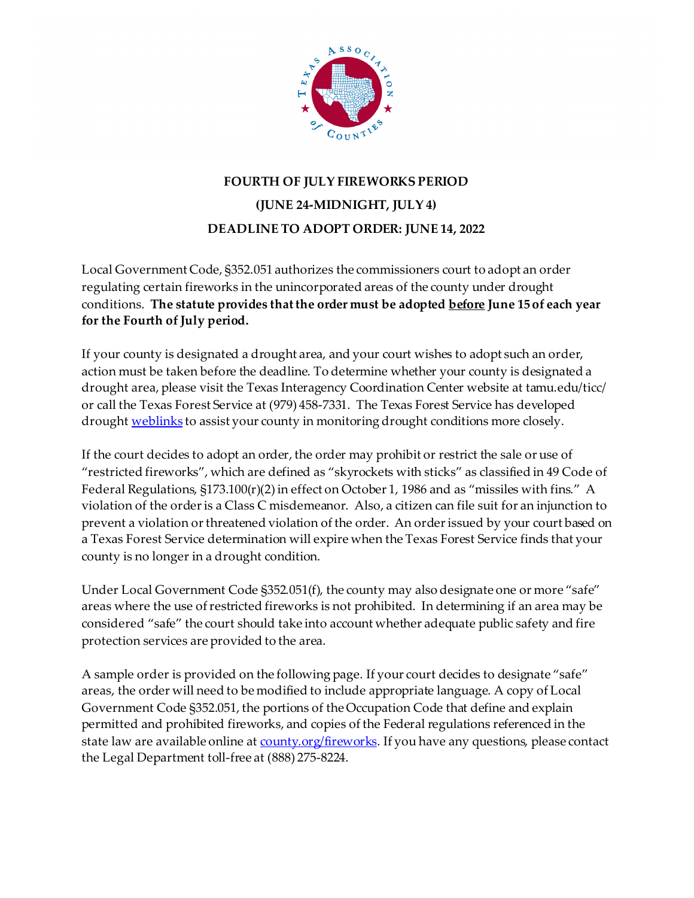

## **FOURTH OF JULY FIREWORKS PERIOD (JUNE 24-MIDNIGHT, JULY 4) DEADLINE TO ADOPT ORDER: JUNE 14, 2022**

Local Government Code, §352.051 authorizes the commissioners court to adopt an order regulating certain fireworks in the unincorporated areas of the county under drought conditions. **The statute provides that the order must be adopted before June 15 of each year for the Fourth of July period.** 

If your county is designated a drought area, and your court wishes to adopt such an order, action must be taken before the deadline. To determine whether your county is designated a drought area, please visit the Texas Interagency Coordination Center website at tamu.edu/ticc/ or call the Texas Forest Service at (979) 458-7331. The Texas Forest Service has developed drough[t weblinks](http://texasforestservice.tamu.edu/content/article.aspx?id=19740) to assist your county in monitoring drought conditions more closely.

If the court decides to adopt an order, the order may prohibit or restrict the sale or use of "restricted fireworks", which are defined as "skyrockets with sticks" as classified in 49 Code of Federal Regulations, §173.100(r)(2) in effect on October 1, 1986 and as "missiles with fins." A violation of the order is a Class C misdemeanor. Also, a citizen can file suit for an injunction to prevent a violation or threatened violation of the order. An order issued by your court based on a Texas Forest Service determination will expire when the Texas Forest Service finds that your county is no longer in a drought condition.

Under Local Government Code §352.051(f), the county may also designate one or more "safe" areas where the use of restricted fireworks is not prohibited. In determining if an area may be considered "safe" the court should take into account whether adequate public safety and fire protection services are provided to the area.

A sample order is provided on the following page. If your court decides to designate "safe" areas, the order will need to be modified to include appropriate language. A copy of Local Government Code §352.051, the portions of the Occupation Code that define and explain permitted and prohibited fireworks, and copies of the Federal regulations referenced in the state law are available online at [county.org/fireworks.](http://www.county.org/fireworks) If you have any questions, please contact the Legal Department toll-free at (888) 275-8224.